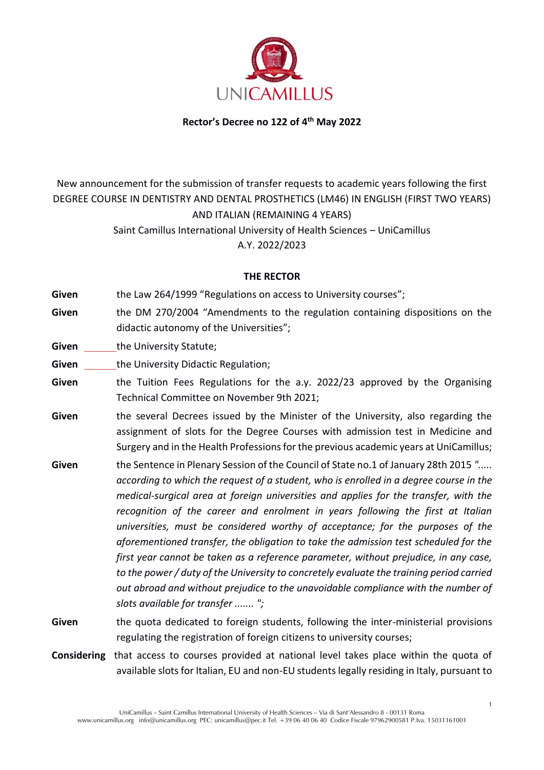

#### **Rector's Decree no 122 of 4th May 2022**

# New announcement for the submission of transfer requests to academic years following the first DEGREE COURSE IN DENTISTRY AND DENTAL PROSTHETICS (LM46) IN ENGLISH (FIRST TWO YEARS) AND ITALIAN (REMAINING 4 YEARS)

Saint Camillus International University of Health Sciences – UniCamillus A.Y. 2022/2023

#### **THE RECTOR**

Given the Law 264/1999 "Regulations on access to University courses";

**Given** the DM 270/2004 "Amendments to the regulation containing dispositions on the didactic autonomy of the Universities";

**Given** the University Statute;

**Given** the University Didactic Regulation;

- **Given** the Tuition Fees Regulations for the a.y. 2022/23 approved by the Organising Technical Committee on November 9th 2021;
- **Given** the several Decrees issued by the Minister of the University, also regarding the assignment of slots for the Degree Courses with admission test in Medicine and Surgery and in the Health Professions for the previous academic years at UniCamillus;
- **Given** the Sentence in Plenary Session of the Council of State no.1 of January 28th 2015 *"..... according to which the request of a student, who is enrolled in a degree course in the medical-surgical area at foreign universities and applies for the transfer, with the recognition of the career and enrolment in years following the first at Italian universities, must be considered worthy of acceptance; for the purposes of the aforementioned transfer, the obligation to take the admission test scheduled for the first year cannot be taken as a reference parameter, without prejudice, in any case, to the power / duty of the University to concretely evaluate the training period carried out abroad and without prejudice to the unavoidable compliance with the number of slots available for transfer ....... ";*
- **Given** the quota dedicated to foreign students, following the inter-ministerial provisions regulating the registration of foreign citizens to university courses;

**Considering** that access to courses provided at national level takes place within the quota of available slots for Italian, EU and non-EU students legally residing in Italy, pursuant to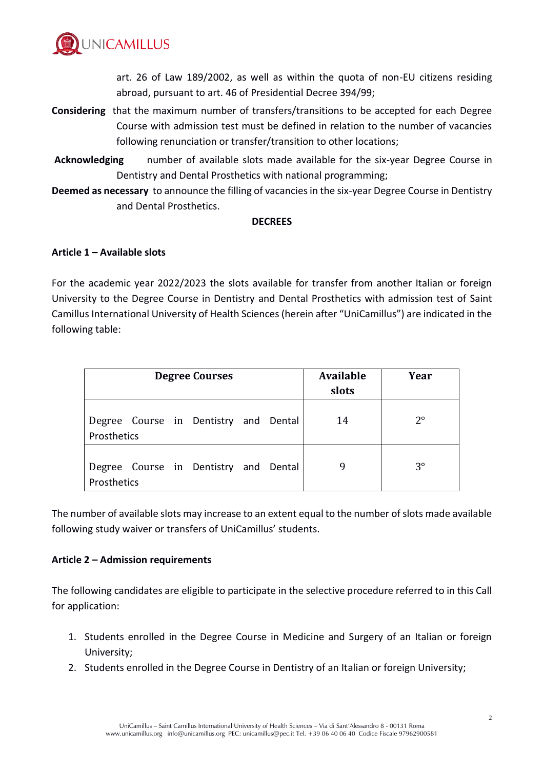

art. 26 of Law 189/2002, as well as within the quota of non-EU citizens residing abroad, pursuant to art. 46 of Presidential Decree 394/99;

- **Considering** that the maximum number of transfers/transitions to be accepted for each Degree Course with admission test must be defined in relation to the number of vacancies following renunciation or transfer/transition to other locations;
- **Acknowledging** number of available slots made available for the six-year Degree Course in Dentistry and Dental Prosthetics with national programming;
- **Deemed as necessary** to announce the filling of vacancies in the six-year Degree Course in Dentistry and Dental Prosthetics.

#### **DECREES**

## **Article 1 – Available slots**

For the academic year 2022/2023 the slots available for transfer from another Italian or foreign University to the Degree Course in Dentistry and Dental Prosthetics with admission test of Saint Camillus International University of Health Sciences (herein after "UniCamillus") are indicated in the following table:

| <b>Degree Courses</b> |  |  |                                       |  | <b>Available</b><br>slots | Year |             |
|-----------------------|--|--|---------------------------------------|--|---------------------------|------|-------------|
| Prosthetics           |  |  | Degree Course in Dentistry and Dental |  |                           | 14   | $2^{\circ}$ |
| Prosthetics           |  |  | Degree Course in Dentistry and Dental |  |                           | 9    | $3^{\circ}$ |

The number of available slots may increase to an extent equal to the number of slots made available following study waiver or transfers of UniCamillus' students.

## **Article 2 – Admission requirements**

The following candidates are eligible to participate in the selective procedure referred to in this Call for application:

- 1. Students enrolled in the Degree Course in Medicine and Surgery of an Italian or foreign University;
- 2. Students enrolled in the Degree Course in Dentistry of an Italian or foreign University;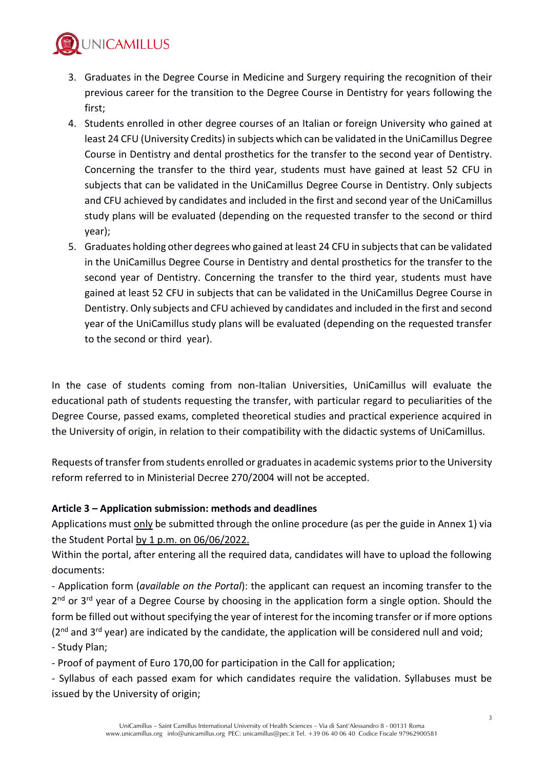

- 3. Graduates in the Degree Course in Medicine and Surgery requiring the recognition of their previous career for the transition to the Degree Course in Dentistry for years following the first;
- 4. Students enrolled in other degree courses of an Italian or foreign University who gained at least 24 CFU (University Credits) in subjects which can be validated in the UniCamillus Degree Course in Dentistry and dental prosthetics for the transfer to the second year of Dentistry. Concerning the transfer to the third year, students must have gained at least 52 CFU in subjects that can be validated in the UniCamillus Degree Course in Dentistry. Only subjects and CFU achieved by candidates and included in the first and second year of the UniCamillus study plans will be evaluated (depending on the requested transfer to the second or third year);
- 5. Graduates holding other degrees who gained at least 24 CFU in subjects that can be validated in the UniCamillus Degree Course in Dentistry and dental prosthetics for the transfer to the second year of Dentistry. Concerning the transfer to the third year, students must have gained at least 52 CFU in subjects that can be validated in the UniCamillus Degree Course in Dentistry. Only subjects and CFU achieved by candidates and included in the first and second year of the UniCamillus study plans will be evaluated (depending on the requested transfer to the second or third year).

In the case of students coming from non-Italian Universities, UniCamillus will evaluate the educational path of students requesting the transfer, with particular regard to peculiarities of the Degree Course, passed exams, completed theoretical studies and practical experience acquired in the University of origin, in relation to their compatibility with the didactic systems of UniCamillus.

Requests of transfer from students enrolled or graduatesin academic systems prior to the University reform referred to in Ministerial Decree 270/2004 will not be accepted.

## **Article 3 – Application submission: methods and deadlines**

Applications must only be submitted through the online procedure (as per the guide in Annex 1) via the Student Portal by  $1$  p.m. on 06/06/2022.

Within the portal, after entering all the required data, candidates will have to upload the following documents:

- Application form (*available on the Portal*): the applicant can request an incoming transfer to the 2<sup>nd</sup> or 3<sup>rd</sup> year of a Degree Course by choosing in the application form a single option. Should the form be filled out without specifying the year of interest for the incoming transfer or if more options (2<sup>nd</sup> and 3<sup>rd</sup> year) are indicated by the candidate, the application will be considered null and void; - Study Plan;

- Proof of payment of Euro 170,00 for participation in the Call for application;

- Syllabus of each passed exam for which candidates require the validation. Syllabuses must be issued by the University of origin;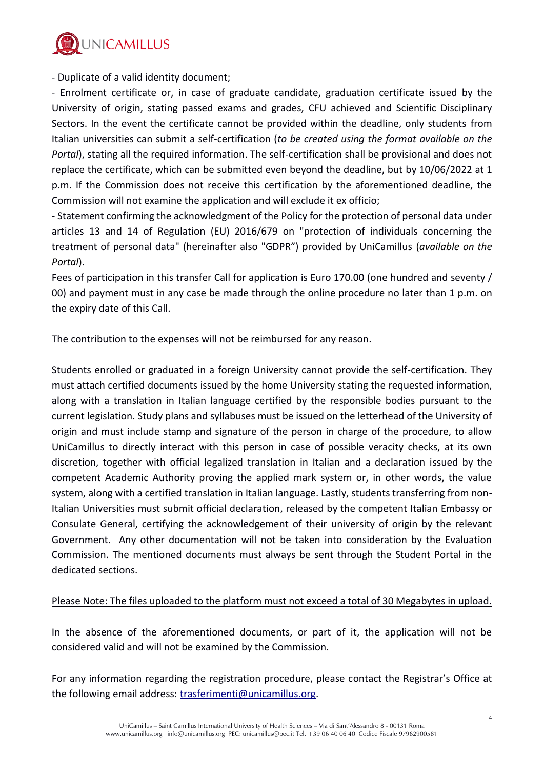

- Duplicate of a valid identity document;

- Enrolment certificate or, in case of graduate candidate, graduation certificate issued by the University of origin, stating passed exams and grades, CFU achieved and Scientific Disciplinary Sectors. In the event the certificate cannot be provided within the deadline, only students from Italian universities can submit a self-certification (*to be created using the format available on the Portal*), stating all the required information. The self-certification shall be provisional and does not replace the certificate, which can be submitted even beyond the deadline, but by 10/06/2022 at 1 p.m. If the Commission does not receive this certification by the aforementioned deadline, the Commission will not examine the application and will exclude it ex officio;

- Statement confirming the acknowledgment of the Policy for the protection of personal data under articles 13 and 14 of Regulation (EU) 2016/679 on "protection of individuals concerning the treatment of personal data" (hereinafter also "GDPR") provided by UniCamillus (*available on the Portal*).

Fees of participation in this transfer Call for application is Euro 170.00 (one hundred and seventy / 00) and payment must in any case be made through the online procedure no later than 1 p.m. on the expiry date of this Call.

The contribution to the expenses will not be reimbursed for any reason.

Students enrolled or graduated in a foreign University cannot provide the self-certification. They must attach certified documents issued by the home University stating the requested information, along with a translation in Italian language certified by the responsible bodies pursuant to the current legislation. Study plans and syllabuses must be issued on the letterhead of the University of origin and must include stamp and signature of the person in charge of the procedure, to allow UniCamillus to directly interact with this person in case of possible veracity checks, at its own discretion, together with official legalized translation in Italian and a declaration issued by the competent Academic Authority proving the applied mark system or, in other words, the value system, along with a certified translation in Italian language. Lastly, students transferring from non-Italian Universities must submit official declaration, released by the competent Italian Embassy or Consulate General, certifying the acknowledgement of their university of origin by the relevant Government. Any other documentation will not be taken into consideration by the Evaluation Commission. The mentioned documents must always be sent through the Student Portal in the dedicated sections.

## Please Note: The files uploaded to the platform must not exceed a total of 30 Megabytes in upload.

In the absence of the aforementioned documents, or part of it, the application will not be considered valid and will not be examined by the Commission.

For any information regarding the registration procedure, please contact the Registrar's Office at the following email address: [trasferimenti@unicamillus.org.](mailto:trasferimenti@unicamillus.org)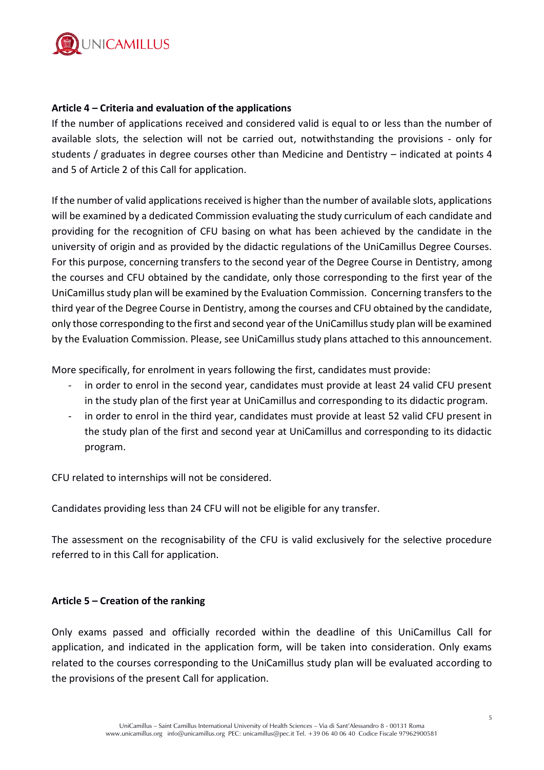

#### **Article 4 – Criteria and evaluation of the applications**

If the number of applications received and considered valid is equal to or less than the number of available slots, the selection will not be carried out, notwithstanding the provisions - only for students / graduates in degree courses other than Medicine and Dentistry – indicated at points 4 and 5 of Article 2 of this Call for application.

If the number of valid applications received is higher than the number of available slots, applications will be examined by a dedicated Commission evaluating the study curriculum of each candidate and providing for the recognition of CFU basing on what has been achieved by the candidate in the university of origin and as provided by the didactic regulations of the UniCamillus Degree Courses. For this purpose, concerning transfers to the second year of the Degree Course in Dentistry, among the courses and CFU obtained by the candidate, only those corresponding to the first year of the UniCamillus study plan will be examined by the Evaluation Commission. Concerning transfers to the third year of the Degree Course in Dentistry, among the courses and CFU obtained by the candidate, only those corresponding to the first and second year of the UniCamillus study plan will be examined by the Evaluation Commission. Please, see UniCamillus study plans attached to this announcement.

More specifically, for enrolment in years following the first, candidates must provide:

- in order to enrol in the second year, candidates must provide at least 24 valid CFU present in the study plan of the first year at UniCamillus and corresponding to its didactic program.
- in order to enrol in the third year, candidates must provide at least 52 valid CFU present in the study plan of the first and second year at UniCamillus and corresponding to its didactic program.

CFU related to internships will not be considered.

Candidates providing less than 24 CFU will not be eligible for any transfer.

The assessment on the recognisability of the CFU is valid exclusively for the selective procedure referred to in this Call for application.

#### **Article 5 – Creation of the ranking**

Only exams passed and officially recorded within the deadline of this UniCamillus Call for application, and indicated in the application form, will be taken into consideration. Only exams related to the courses corresponding to the UniCamillus study plan will be evaluated according to the provisions of the present Call for application.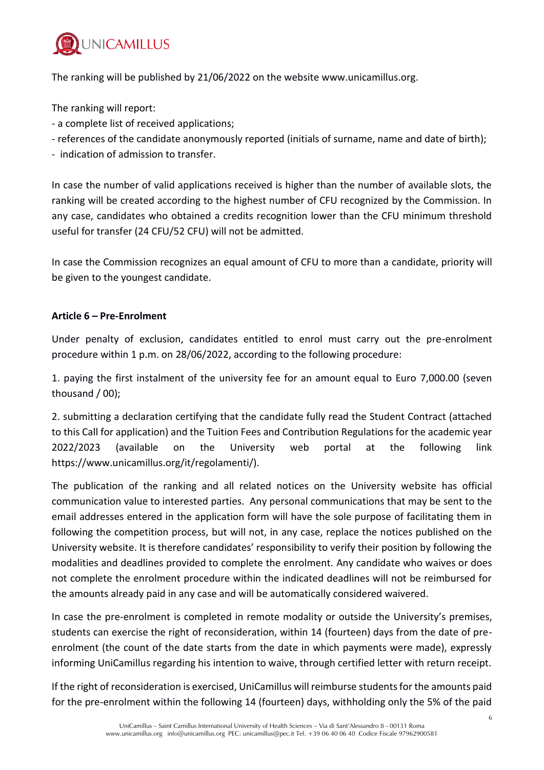

The ranking will be published by 21/06/2022 on the website [www.unicamillus.org.](http://www.unicamillus.org/)

The ranking will report:

- a complete list of received applications;
- references of the candidate anonymously reported (initials of surname, name and date of birth);
- indication of admission to transfer.

In case the number of valid applications received is higher than the number of available slots, the ranking will be created according to the highest number of CFU recognized by the Commission. In any case, candidates who obtained a credits recognition lower than the CFU minimum threshold useful for transfer (24 CFU/52 CFU) will not be admitted.

In case the Commission recognizes an equal amount of CFU to more than a candidate, priority will be given to the youngest candidate.

## **Article 6 – Pre-Enrolment**

Under penalty of exclusion, candidates entitled to enrol must carry out the pre-enrolment procedure within 1 p.m. on 28/06/2022, according to the following procedure:

1. paying the first instalment of the university fee for an amount equal to Euro 7,000.00 (seven thousand / 00);

2. submitting a declaration certifying that the candidate fully read the Student Contract (attached to this Call for application) and the Tuition Fees and Contribution Regulations for the academic year 2022/2023 (available on the University web portal at the following link https://www.unicamillus.org/it/regolamenti/).

The publication of the ranking and all related notices on the University website has official communication value to interested parties. Any personal communications that may be sent to the email addresses entered in the application form will have the sole purpose of facilitating them in following the competition process, but will not, in any case, replace the notices published on the University website. It is therefore candidates' responsibility to verify their position by following the modalities and deadlines provided to complete the enrolment. Any candidate who waives or does not complete the enrolment procedure within the indicated deadlines will not be reimbursed for the amounts already paid in any case and will be automatically considered waivered.

In case the pre-enrolment is completed in remote modality or outside the University's premises, students can exercise the right of reconsideration, within 14 (fourteen) days from the date of preenrolment (the count of the date starts from the date in which payments were made), expressly informing UniCamillus regarding his intention to waive, through certified letter with return receipt.

If the right of reconsideration is exercised, UniCamillus will reimburse students for the amounts paid for the pre-enrolment within the following 14 (fourteen) days, withholding only the 5% of the paid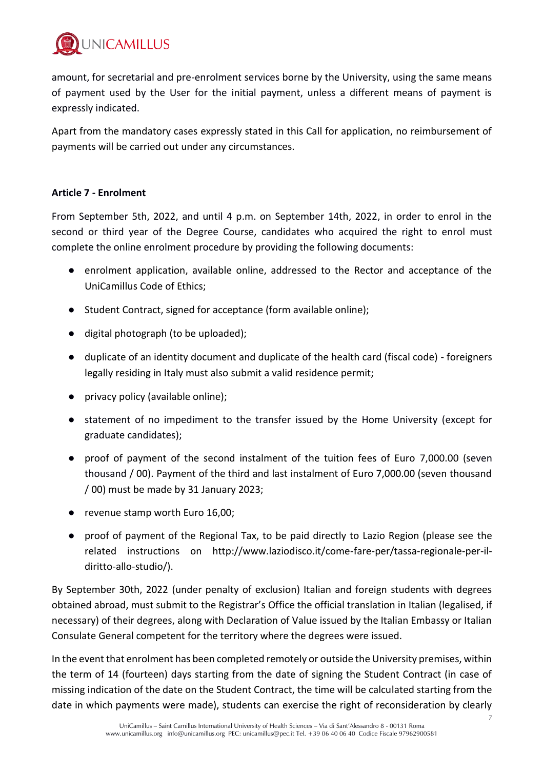

amount, for secretarial and pre-enrolment services borne by the University, using the same means of payment used by the User for the initial payment, unless a different means of payment is expressly indicated.

Apart from the mandatory cases expressly stated in this Call for application, no reimbursement of payments will be carried out under any circumstances.

## **Article 7 - Enrolment**

From September 5th, 2022, and until 4 p.m. on September 14th, 2022, in order to enrol in the second or third year of the Degree Course, candidates who acquired the right to enrol must complete the online enrolment procedure by providing the following documents:

- enrolment application, available online, addressed to the Rector and acceptance of the UniCamillus Code of Ethics;
- Student Contract, signed for acceptance (form available online);
- digital photograph (to be uploaded);
- duplicate of an identity document and duplicate of the health card (fiscal code) foreigners legally residing in Italy must also submit a valid residence permit;
- privacy policy (available online);
- statement of no impediment to the transfer issued by the Home University (except for graduate candidates);
- proof of payment of the second instalment of the tuition fees of Euro 7,000.00 (seven thousand / 00). Payment of the third and last instalment of Euro 7,000.00 (seven thousand / 00) must be made by 31 January 2023;
- revenue stamp worth Euro 16,00;
- proof of payment of the Regional Tax, to be paid directly to Lazio Region (please see the related instructions on http://www.laziodisco.it/come-fare-per/tassa-regionale-per-ildiritto-allo-studio/).

By September 30th, 2022 (under penalty of exclusion) Italian and foreign students with degrees obtained abroad, must submit to the Registrar's Office the official translation in Italian (legalised, if necessary) of their degrees, along with Declaration of Value issued by the Italian Embassy or Italian Consulate General competent for the territory where the degrees were issued.

In the event that enrolment has been completed remotely or outside the University premises, within the term of 14 (fourteen) days starting from the date of signing the Student Contract (in case of missing indication of the date on the Student Contract, the time will be calculated starting from the date in which payments were made), students can exercise the right of reconsideration by clearly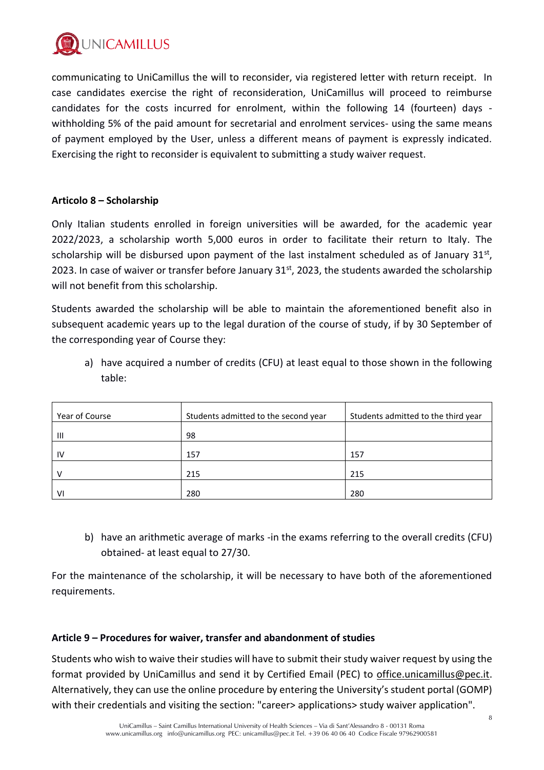

communicating to UniCamillus the will to reconsider, via registered letter with return receipt. In case candidates exercise the right of reconsideration, UniCamillus will proceed to reimburse candidates for the costs incurred for enrolment, within the following 14 (fourteen) days withholding 5% of the paid amount for secretarial and enrolment services- using the same means of payment employed by the User, unless a different means of payment is expressly indicated. Exercising the right to reconsider is equivalent to submitting a study waiver request.

#### **Articolo 8 – Scholarship**

Only Italian students enrolled in foreign universities will be awarded, for the academic year 2022/2023, a scholarship worth 5,000 euros in order to facilitate their return to Italy. The scholarship will be disbursed upon payment of the last instalment scheduled as of January 31st, 2023. In case of waiver or transfer before January 31st, 2023, the students awarded the scholarship will not benefit from this scholarship.

Students awarded the scholarship will be able to maintain the aforementioned benefit also in subsequent academic years up to the legal duration of the course of study, if by 30 September of the corresponding year of Course they:

a) have acquired a number of credits (CFU) at least equal to those shown in the following table:

| Year of Course | Students admitted to the second year | Students admitted to the third year |
|----------------|--------------------------------------|-------------------------------------|
| $\mathbf{  }$  | 98                                   |                                     |
| IV             | 157                                  | 157                                 |
|                | 215                                  | 215                                 |
| VI             | 280                                  | 280                                 |

b) have an arithmetic average of marks -in the exams referring to the overall credits (CFU) obtained- at least equal to 27/30.

For the maintenance of the scholarship, it will be necessary to have both of the aforementioned requirements.

#### **Article 9 – Procedures for waiver, transfer and abandonment of studies**

Students who wish to waive their studies will have to submit their study waiver request by using the format provided by UniCamillus and send it by Certified Email (PEC) to [office.unicamillus@pec.it.](mailto:office.unicamillus@pec.it) Alternatively, they can use the online procedure by entering the University's student portal (GOMP) with their credentials and visiting the section: "career> applications> study waiver application".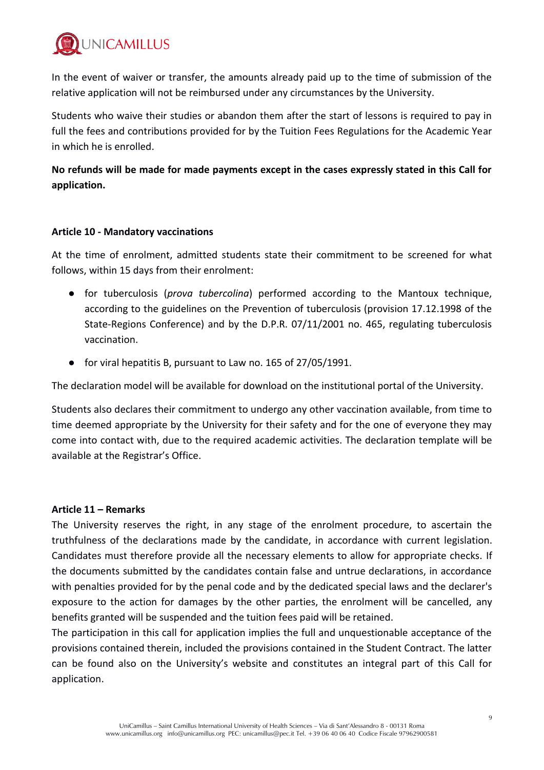

In the event of waiver or transfer, the amounts already paid up to the time of submission of the relative application will not be reimbursed under any circumstances by the University.

Students who waive their studies or abandon them after the start of lessons is required to pay in full the fees and contributions provided for by the Tuition Fees Regulations for the Academic Year in which he is enrolled.

**No refunds will be made for made payments except in the cases expressly stated in this Call for application.**

#### **Article 10 - Mandatory vaccinations**

At the time of enrolment, admitted students state their commitment to be screened for what follows, within 15 days from their enrolment:

- for tuberculosis (*prova tubercolina*) performed according to the Mantoux technique, according to the guidelines on the Prevention of tuberculosis (provision 17.12.1998 of the State-Regions Conference) and by the D.P.R. 07/11/2001 no. 465, regulating tuberculosis vaccination.
- for viral hepatitis B, pursuant to Law no. 165 of 27/05/1991.

The declaration model will be available for download on the institutional portal of the University.

Students also declares their commitment to undergo any other vaccination available, from time to time deemed appropriate by the University for their safety and for the one of everyone they may come into contact with, due to the required academic activities. The declaration template will be available at the Registrar's Office.

#### **Article 11 – Remarks**

The University reserves the right, in any stage of the enrolment procedure, to ascertain the truthfulness of the declarations made by the candidate, in accordance with current legislation. Candidates must therefore provide all the necessary elements to allow for appropriate checks. If the documents submitted by the candidates contain false and untrue declarations, in accordance with penalties provided for by the penal code and by the dedicated special laws and the declarer's exposure to the action for damages by the other parties, the enrolment will be cancelled, any benefits granted will be suspended and the tuition fees paid will be retained.

The participation in this call for application implies the full and unquestionable acceptance of the provisions contained therein, included the provisions contained in the Student Contract. The latter can be found also on the University's website and constitutes an integral part of this Call for application.